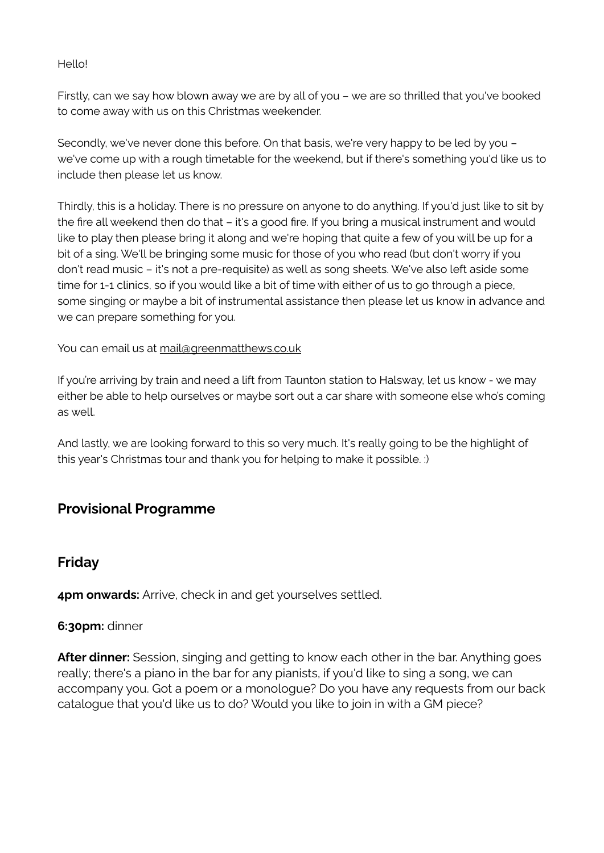#### Hello!

Firstly, can we say how blown away we are by all of you – we are so thrilled that you've booked to come away with us on this Christmas weekender.

Secondly, we've never done this before. On that basis, we're very happy to be led by you – we've come up with a rough timetable for the weekend, but if there's something you'd like us to include then please let us know.

Thirdly, this is a holiday. There is no pressure on anyone to do anything. If you'd just like to sit by the fire all weekend then do that – it's a good fire. If you bring a musical instrument and would like to play then please bring it along and we're hoping that quite a few of you will be up for a bit of a sing. We'll be bringing some music for those of you who read (but don't worry if you don't read music – it's not a pre-requisite) as well as song sheets. We've also left aside some time for 1-1 clinics, so if you would like a bit of time with either of us to go through a piece, some singing or maybe a bit of instrumental assistance then please let us know in advance and we can prepare something for you.

You can email us at [mail@greenmatthews.co.uk](mailto:mail@greenmatthews.co.uk)

If you're arriving by train and need a lift from Taunton station to Halsway, let us know - we may either be able to help ourselves or maybe sort out a car share with someone else who's coming as well.

And lastly, we are looking forward to this so very much. It's really going to be the highlight of this year's Christmas tour and thank you for helping to make it possible. :)

# **Provisional Programme**

# **Friday**

**4pm onwards:** Arrive, check in and get yourselves settled.

#### **6:30pm:** dinner

**After dinner:** Session, singing and getting to know each other in the bar. Anything goes really; there's a piano in the bar for any pianists, if you'd like to sing a song, we can accompany you. Got a poem or a monologue? Do you have any requests from our back catalogue that you'd like us to do? Would you like to join in with a GM piece?